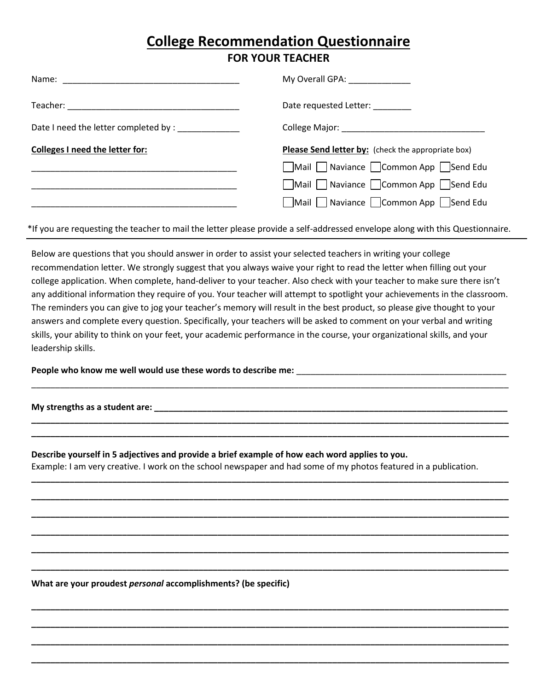## **College Recommendation Questionnaire FOR YOUR TEACHER**

|                                                    | My Overall GPA: _____________                                 |
|----------------------------------------------------|---------------------------------------------------------------|
|                                                    | Date requested Letter:                                        |
| Date I need the letter completed by : ____________ |                                                               |
| Colleges I need the letter for:                    | Please Send letter by: (check the appropriate box)            |
|                                                    | $\Box$ Mail $\Box$ Naviance $\Box$ Common App $\Box$ Send Edu |
|                                                    | Mail Naviance Common App Send Edu                             |
|                                                    | Mail Naviance Common App Send Edu                             |
|                                                    |                                                               |

\*If you are requesting the teacher to mail the letter please provide a self-addressed envelope along with this Questionnaire.

Below are questions that you should answer in order to assist your selected teachers in writing your college recommendation letter. We strongly suggest that you always waive your right to read the letter when filling out your college application. When complete, hand-deliver to your teacher. Also check with your teacher to make sure there isn't any additional information they require of you. Your teacher will attempt to spotlight your achievements in the classroom. The reminders you can give to jog your teacher's memory will result in the best product, so please give thought to your answers and complete every question. Specifically, your teachers will be asked to comment on your verbal and writing skills, your ability to think on your feet, your academic performance in the course, your organizational skills, and your leadership skills.

\_\_\_\_\_\_\_\_\_\_\_\_\_\_\_\_\_\_\_\_\_\_\_\_\_\_\_\_\_\_\_\_\_\_\_\_\_\_\_\_\_\_\_\_\_\_\_\_\_\_\_\_\_\_\_\_\_\_\_\_\_\_\_\_\_\_\_\_\_\_\_\_\_\_\_\_\_\_\_\_\_\_\_\_\_\_\_\_\_\_\_\_\_\_\_\_\_\_\_\_

**\_\_\_\_\_\_\_\_\_\_\_\_\_\_\_\_\_\_\_\_\_\_\_\_\_\_\_\_\_\_\_\_\_\_\_\_\_\_\_\_\_\_\_\_\_\_\_\_\_\_\_\_\_\_\_\_\_\_\_\_\_\_\_\_\_\_\_\_\_\_\_\_\_\_\_\_\_\_\_\_\_\_\_\_\_\_\_\_\_\_\_\_\_\_\_\_\_\_\_\_ \_\_\_\_\_\_\_\_\_\_\_\_\_\_\_\_\_\_\_\_\_\_\_\_\_\_\_\_\_\_\_\_\_\_\_\_\_\_\_\_\_\_\_\_\_\_\_\_\_\_\_\_\_\_\_\_\_\_\_\_\_\_\_\_\_\_\_\_\_\_\_\_\_\_\_\_\_\_\_\_\_\_\_\_\_\_\_\_\_\_\_\_\_\_\_\_\_\_\_\_**

**\_\_\_\_\_\_\_\_\_\_\_\_\_\_\_\_\_\_\_\_\_\_\_\_\_\_\_\_\_\_\_\_\_\_\_\_\_\_\_\_\_\_\_\_\_\_\_\_\_\_\_\_\_\_\_\_\_\_\_\_\_\_\_\_\_\_\_\_\_\_\_\_\_\_\_\_\_\_\_\_\_\_\_\_\_\_\_\_\_\_\_\_\_\_\_\_\_\_\_\_**

**\_\_\_\_\_\_\_\_\_\_\_\_\_\_\_\_\_\_\_\_\_\_\_\_\_\_\_\_\_\_\_\_\_\_\_\_\_\_\_\_\_\_\_\_\_\_\_\_\_\_\_\_\_\_\_\_\_\_\_\_\_\_\_\_\_\_\_\_\_\_\_\_\_\_\_\_\_\_\_\_\_\_\_\_\_\_\_\_\_\_\_\_\_\_\_\_\_\_\_\_**

**\_\_\_\_\_\_\_\_\_\_\_\_\_\_\_\_\_\_\_\_\_\_\_\_\_\_\_\_\_\_\_\_\_\_\_\_\_\_\_\_\_\_\_\_\_\_\_\_\_\_\_\_\_\_\_\_\_\_\_\_\_\_\_\_\_\_\_\_\_\_\_\_\_\_\_\_\_\_\_\_\_\_\_\_\_\_\_\_\_\_\_\_\_\_\_\_\_\_\_\_**

**\_\_\_\_\_\_\_\_\_\_\_\_\_\_\_\_\_\_\_\_\_\_\_\_\_\_\_\_\_\_\_\_\_\_\_\_\_\_\_\_\_\_\_\_\_\_\_\_\_\_\_\_\_\_\_\_\_\_\_\_\_\_\_\_\_\_\_\_\_\_\_\_\_\_\_\_\_\_\_\_\_\_\_\_\_\_\_\_\_\_\_\_\_\_\_\_\_\_\_\_**

**\_\_\_\_\_\_\_\_\_\_\_\_\_\_\_\_\_\_\_\_\_\_\_\_\_\_\_\_\_\_\_\_\_\_\_\_\_\_\_\_\_\_\_\_\_\_\_\_\_\_\_\_\_\_\_\_\_\_\_\_\_\_\_\_\_\_\_\_\_\_\_\_\_\_\_\_\_\_\_\_\_\_\_\_\_\_\_\_\_\_\_\_\_\_\_\_\_\_\_\_**

**\_\_\_\_\_\_\_\_\_\_\_\_\_\_\_\_\_\_\_\_\_\_\_\_\_\_\_\_\_\_\_\_\_\_\_\_\_\_\_\_\_\_\_\_\_\_\_\_\_\_\_\_\_\_\_\_\_\_\_\_\_\_\_\_\_\_\_\_\_\_\_\_\_\_\_\_\_\_\_\_\_\_\_\_\_\_\_\_\_\_\_\_\_\_\_\_\_\_\_\_**

**\_\_\_\_\_\_\_\_\_\_\_\_\_\_\_\_\_\_\_\_\_\_\_\_\_\_\_\_\_\_\_\_\_\_\_\_\_\_\_\_\_\_\_\_\_\_\_\_\_\_\_\_\_\_\_\_\_\_\_\_\_\_\_\_\_\_\_\_\_\_\_\_\_\_\_\_\_\_\_\_\_\_\_\_\_\_\_\_\_\_\_\_\_\_\_\_\_\_\_\_**

**\_\_\_\_\_\_\_\_\_\_\_\_\_\_\_\_\_\_\_\_\_\_\_\_\_\_\_\_\_\_\_\_\_\_\_\_\_\_\_\_\_\_\_\_\_\_\_\_\_\_\_\_\_\_\_\_\_\_\_\_\_\_\_\_\_\_\_\_\_\_\_\_\_\_\_\_\_\_\_\_\_\_\_\_\_\_\_\_\_\_\_\_\_\_\_\_\_\_\_\_**

**\_\_\_\_\_\_\_\_\_\_\_\_\_\_\_\_\_\_\_\_\_\_\_\_\_\_\_\_\_\_\_\_\_\_\_\_\_\_\_\_\_\_\_\_\_\_\_\_\_\_\_\_\_\_\_\_\_\_\_\_\_\_\_\_\_\_\_\_\_\_\_\_\_\_\_\_\_\_\_\_\_\_\_\_\_\_\_\_\_\_\_\_\_\_\_\_\_\_\_\_**

**\_\_\_\_\_\_\_\_\_\_\_\_\_\_\_\_\_\_\_\_\_\_\_\_\_\_\_\_\_\_\_\_\_\_\_\_\_\_\_\_\_\_\_\_\_\_\_\_\_\_\_\_\_\_\_\_\_\_\_\_\_\_\_\_\_\_\_\_\_\_\_\_\_\_\_\_\_\_\_\_\_\_\_\_\_\_\_\_\_\_\_\_\_\_\_\_\_\_\_\_**

**People who know me well would use these words to describe me:** \_\_\_\_\_\_\_\_\_\_\_\_\_\_\_\_\_\_\_\_\_\_\_\_\_\_\_\_\_\_\_\_\_\_\_\_\_\_\_\_\_\_\_\_

**My strengths as a student are: \_\_\_\_\_\_\_\_\_\_\_\_\_\_\_\_\_\_\_\_\_\_\_\_\_\_\_\_\_\_\_\_\_\_\_\_\_\_\_\_\_\_\_\_\_\_\_\_\_\_\_\_\_\_\_\_\_\_\_\_\_\_\_\_\_\_\_\_\_\_\_\_\_\_**

**Describe yourself in 5 adjectives and provide a brief example of how each word applies to you.** Example: I am very creative. I work on the school newspaper and had some of my photos featured in a publication.

**What are your proudest** *personal* **accomplishments? (be specific)**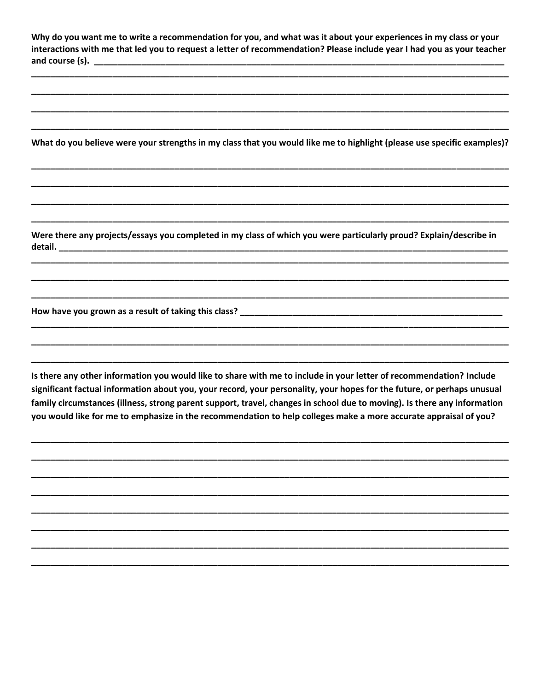Why do you want me to write a recommendation for you, and what was it about your experiences in my class or your interactions with me that led you to request a letter of recommendation? Please include year I had you as your teacher 

What do you believe were your strengths in my class that you would like me to highlight (please use specific examples)?

Were there any projects/essays you completed in my class of which you were particularly proud? Explain/describe in detail.

Is there any other information you would like to share with me to include in your letter of recommendation? Include significant factual information about you, your record, your personality, your hopes for the future, or perhaps unusual family circumstances (illness, strong parent support, travel, changes in school due to moving). Is there any information you would like for me to emphasize in the recommendation to help colleges make a more accurate appraisal of you?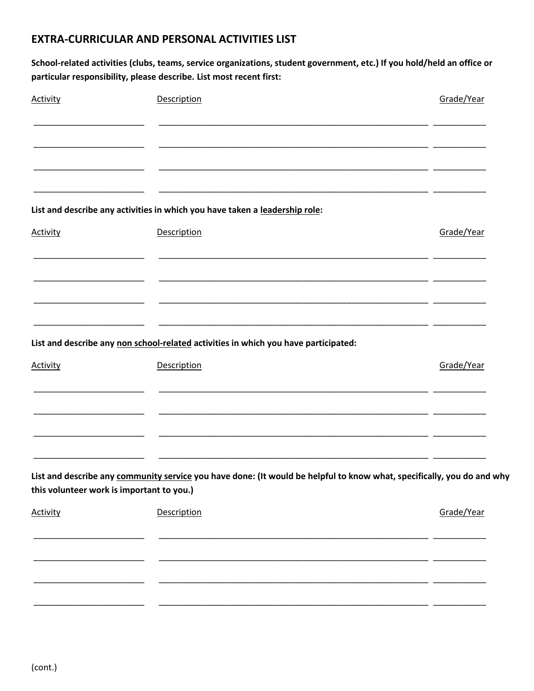## **EXTRA-CURRICULAR AND PERSONAL ACTIVITIES LIST**

School-related activities (clubs, teams, service organizations, student government, etc.) If you hold/held an office or particular responsibility, please describe. List most recent first:

| <b>Activity</b> | Description                                                                                                                                                         | Grade/Year |
|-----------------|---------------------------------------------------------------------------------------------------------------------------------------------------------------------|------------|
|                 |                                                                                                                                                                     |            |
|                 |                                                                                                                                                                     |            |
|                 | List and describe any activities in which you have taken a leadership role:                                                                                         |            |
| <b>Activity</b> | Description                                                                                                                                                         | Grade/Year |
|                 |                                                                                                                                                                     |            |
|                 |                                                                                                                                                                     |            |
|                 | List and describe any non school-related activities in which you have participated:                                                                                 |            |
| <b>Activity</b> | Description                                                                                                                                                         | Grade/Year |
|                 |                                                                                                                                                                     |            |
|                 | ___________                                                                                                                                                         |            |
|                 | List and describe any community service you have done: (It would be helpful to know what, specifically, you do and why<br>this volunteer work is important to you.) |            |
|                 |                                                                                                                                                                     |            |
| <b>Activity</b> | Description                                                                                                                                                         | Grade/Year |
|                 |                                                                                                                                                                     |            |
|                 |                                                                                                                                                                     |            |
|                 |                                                                                                                                                                     |            |